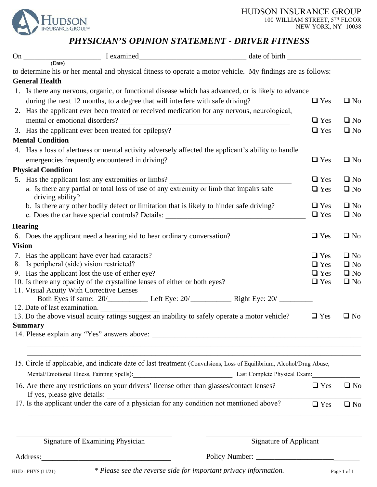HUDSON INSURANCE GROUP 100 WILLIAM STREET, 5TH FLOOR NEW YORK, NY 10038



## *PHYSICIAN'S OPINION STATEMENT - DRIVER FITNESS*

|               | to determine his or her mental and physical fitness to operate a motor vehicle. My findings are as follows:                                             |                               |              |  |
|---------------|---------------------------------------------------------------------------------------------------------------------------------------------------------|-------------------------------|--------------|--|
|               | <b>General Health</b>                                                                                                                                   |                               |              |  |
|               | 1. Is there any nervous, organic, or functional disease which has advanced, or is likely to advance                                                     |                               |              |  |
|               | during the next 12 months, to a degree that will interfere with safe driving?                                                                           | $\Box$ Yes                    | $\square$ No |  |
|               | 2. Has the applicant ever been treated or received medication for any nervous, neurological,                                                            |                               |              |  |
|               | mental or emotional disorders?<br><u> 1980 - John Stein, mars and der Stein Stein Stein Stein Stein Stein Stein Stein Stein Stein Stein Stein Stein</u> | $\Box$ Yes                    | $\Box$ No    |  |
|               | 3. Has the applicant ever been treated for epilepsy?                                                                                                    | $\Box$ Yes                    | $\square$ No |  |
|               | <b>Mental Condition</b>                                                                                                                                 |                               |              |  |
|               | 4. Has a loss of alertness or mental activity adversely affected the applicant's ability to handle                                                      |                               |              |  |
|               | emergencies frequently encountered in driving?                                                                                                          | $\Box$ Yes                    | $\Box$ No    |  |
|               | <b>Physical Condition</b>                                                                                                                               |                               |              |  |
|               | 5. Has the applicant lost any extremities or limbs?                                                                                                     | $\Box$ Yes                    | $\Box$ No    |  |
|               | a. Is there any partial or total loss of use of any extremity or limb that impairs safe<br>driving ability?                                             | $\Box$ Yes                    | $\Box$ No    |  |
|               | b. Is there any other bodily defect or limitation that is likely to hinder safe driving?                                                                | $\Box$ Yes                    | $\Box$ No    |  |
|               | c. Does the car have special controls? Details: _________________________________                                                                       | $\Box$ Yes                    | $\square$ No |  |
|               | <b>Hearing</b>                                                                                                                                          |                               |              |  |
|               | 6. Does the applicant need a hearing aid to hear ordinary conversation?                                                                                 | $\Box$ Yes                    | $\Box$ No    |  |
| <b>Vision</b> |                                                                                                                                                         |                               |              |  |
|               | 7. Has the applicant have ever had cataracts?                                                                                                           | $\Box$ Yes                    | $\Box$ No    |  |
|               | 8. Is peripheral (side) vision restricted?                                                                                                              | $\Box$ Yes                    | $\square$ No |  |
|               | 9. Has the applicant lost the use of either eye?                                                                                                        | $\Box$ Yes                    | $\Box$ No    |  |
|               | 10. Is there any opacity of the crystalline lenses of either or both eyes?                                                                              | $\Box$ Yes                    | $\square$ No |  |
|               | 11. Visual Acuity With Corrective Lenses                                                                                                                |                               |              |  |
|               | 12. Date of last examination.                                                                                                                           |                               |              |  |
|               | 13. Do the above visual acuity ratings suggest an inability to safely operate a motor vehicle?                                                          | $\Box$ Yes                    | $\square$ No |  |
|               | <b>Summary</b>                                                                                                                                          |                               |              |  |
|               |                                                                                                                                                         |                               |              |  |
|               | 15. Circle if applicable, and indicate date of last treatment (Convulsions, Loss of Equilibrium, Alcohol/Drug Abuse,                                    |                               |              |  |
|               | Mental/Emotional Illness, Fainting Spells): Last Complete Physical Exam:                                                                                |                               |              |  |
|               | 16. Are there any restrictions on your drivers' license other than glasses/contact lenses?                                                              | $\Box$ Yes                    | $\square$ No |  |
|               | If yes, please give details:<br>17. Is the applicant under the care of a physician for any condition not mentioned above?                               | $\Box$ Yes                    | $\square$ No |  |
|               |                                                                                                                                                         |                               |              |  |
|               | Signature of Examining Physician                                                                                                                        | <b>Signature of Applicant</b> |              |  |

Address:\_\_\_\_\_\_\_\_\_\_\_\_\_\_\_\_\_\_\_\_\_\_\_\_\_\_\_\_\_\_\_\_\_\_\_ Policy Number: \_\_\_\_\_\_\_\_\_\_\_\_\_\_\_\_\_\_\_\_\_\_\_\_\_\_\_\_

HUD - PHYS (11/21) *\* Please see the reverse side for important privacy information.* Page 1 of <sup>1</sup>